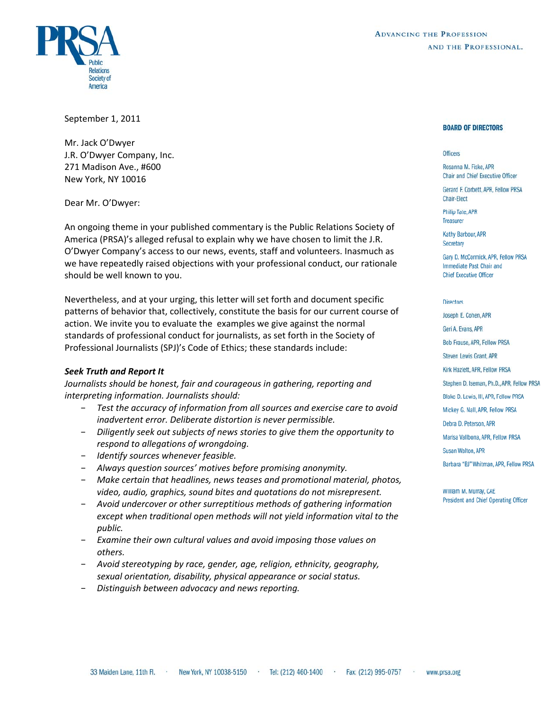



September 1, 2011

Mr. Jack O'Dwyer J.R. O'Dwyer Company, Inc. 271 Madison Ave., #600 New York, NY 10016

Dear Mr. O'Dwyer:

An ongoing theme in your published commentary is the Public Relations Society of America (PRSA)'s alleged refusal to explain why we have chosen to limit the J.R. O'Dwyer Company's access to our news, events, staff and volunteers. Inasmuch as we have repeatedly raised objections with your professional conduct, our rationale should be well known to you.

Nevertheless, and at your urging, this letter will set forth and document specific patterns of behavior that, collectively, constitute the basis for our current course of action. We invite you to evaluate the examples we give against the normal standards of professional conduct for journalists, as set forth in the Society of Professional Journalists (SPJ)'s Code of Ethics; these standards include:

#### *Seek Truth and Report It*

*Journalists should be honest, fair and courageous in gathering, reporting and interpreting information. Journalists should:*

- − *Test the accuracy of information from all sources and exercise care to avoid inadvertent error. Deliberate distortion is never permissible.*
- − *Diligently seek out subjects of news stories to give them the opportunity to respond to allegations of wrongdoing.*
- − *Identify sources whenever feasible.*
- − *Always question sources' motives before promising anonymity.*
- − *Make certain that headlines, news teases and promotional material, photos, video, audio, graphics, sound bites and quotations do not misrepresent.*
- − *Avoid undercover or other surreptitious methods of gathering information except when traditional open methods will not yield information vital to the public.*
- − *Examine their own cultural values and avoid imposing those values on others.*
- − *Avoid stereotyping by race, gender, age, religion, ethnicity, geography, sexual orientation, disability, physical appearance or social status.*
- − *Distinguish between advocacy and news reporting.*

#### **BOARD OF DIRECTORS**

#### **Officers**

Rosanna M. Fiske APR **Chair and Chief Executive Officer** 

Gerard F. Corbett, APR, Fellow PRSA **Chair-Elect** 

**Philip Tate, APR Treasurer** 

Kathy Barbour, APR Secretary

Gary D. McCormick, APR, Fellow PRSA Immediate Past Chair and **Chief Executive Officer** 

#### Directors

Joseph E. Cohen, APR Geri A. Evans, APR **Bob Frause, APR, Fellow PRSA** Steven Lewis Grant, APR Kirk Hazlett, APR, Fellow PRSA Stephen D. Iseman, Ph.D., APR, Fellow PRSA Blake D. Lewis, III, APR, Fellow PRSA Mickey G. Nall, APR, Fellow PRSA Debra D. Peterson, APR Marisa Vallbona, APR, Fellow PRSA Susan Walton, APR

William M. Murray, CAE President and Chief Operating Officer

Barbara "BJ" Whitman, APR, Fellow PRSA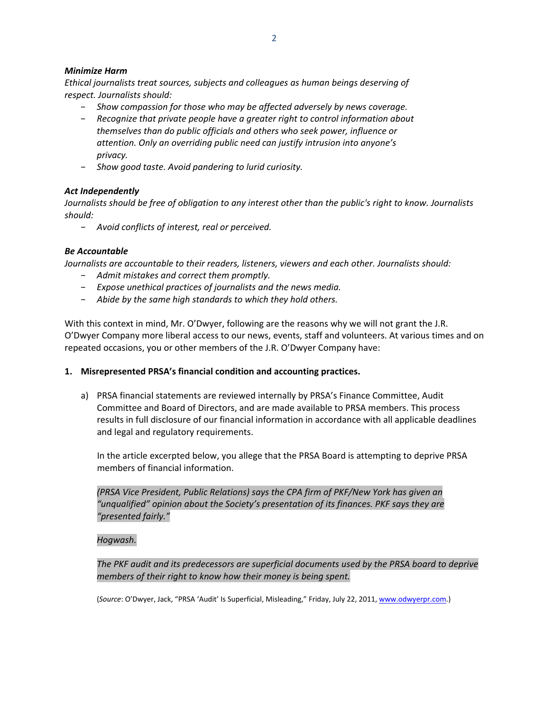## *Minimize Harm*

*Ethical journalists treat sources, subjects and colleagues as human beings deserving of respect. Journalists should:*

- − *Show compassion for those who may be affected adversely by news coverage.*
- − *Recognize that private people have a greater right to control information about themselves than do public officials and others who seek power, influence or attention. Only an overriding public need can justify intrusion into anyone's privacy.*
- − *Show good taste. Avoid pandering to lurid curiosity.*

# *Act Independently*

Journalists should be free of obligation to any interest other than the public's right to know. Journalists *should:*

− *Avoid conflicts of interest, real or perceived.*

# *Be Accountable*

*Journalists are accountable to their readers, listeners, viewers and each other. Journalists should:*

- − *Admit mistakes and correct them promptly.*
- − *Expose unethical practices of journalists and the news media.*
- − *Abide by the same high standards to which they hold others.*

With this context in mind, Mr. O'Dwyer, following are the reasons why we will not grant the J.R. O'Dwyer Company more liberal access to our news, events, staff and volunteers. At various times and on repeated occasions, you or other members of the J.R. O'Dwyer Company have:

## **1. Misrepresented PRSA's financial condition and accounting practices.**

a) PRSA financial statements are reviewed internally by PRSA's Finance Committee, Audit Committee and Board of Directors, and are made available to PRSA members. This process results in full disclosure of our financial information in accordance with all applicable deadlines and legal and regulatory requirements.

In the article excerpted below, you allege that the PRSA Board is attempting to deprive PRSA members of financial information.

*(PRSA Vice President, Public Relations) says the CPA firm of PKF/New York has given an "unqualified" opinion about the Society's [presentation](http://www.odwyerpr.com/blog/index.php?/archives/2950-PRSA-Financial-Report-Violates-FASB-Rules.html) of its finances. PKF says they are "presented fairly."*

## *Hogwash.*

*The PKF audit and its predecessors are superficial documents used by the PRSA board to deprive members of their right to know how their money is being spent.*

(*Source*: O'Dwyer, Jack, "PRSA 'Audit' Is Superficial, Misleading," Friday, July 22, 2011, [www.odwyerpr.com.](http://www.odwyerpr.com/))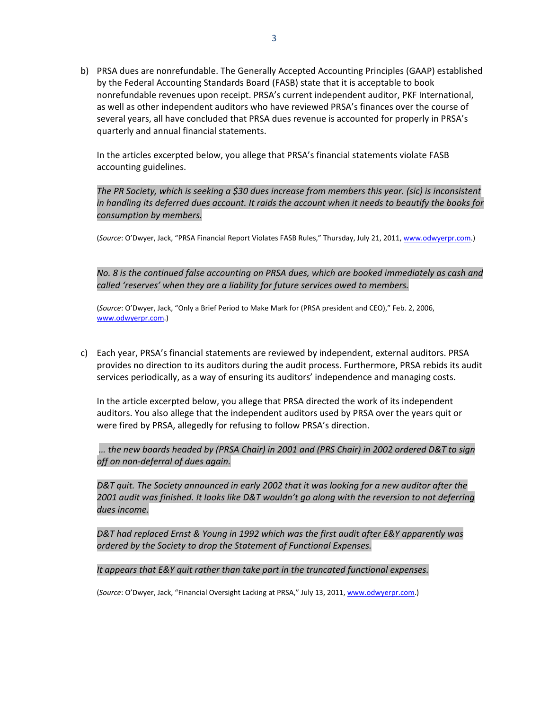b) PRSA dues are nonrefundable. The Generally Accepted Accounting Principles (GAAP) established by the Federal Accounting Standards Board (FASB) state that it is acceptable to book nonrefundable revenues upon receipt. PRSA's current independent auditor, PKF International, as well as other independent auditors who have reviewed PRSA's finances over the course of several years, all have concluded that PRSA dues revenue is accounted for properly in PRSA's quarterly and annual financial statements.

In the articles excerpted below, you allege that PRSA's financial statements violate FASB accounting guidelines.

*The PR Society, which is seeking a \$30 dues increase from members this year. (sic) is inconsistent* in handling its deferred dues account. It raids the account when it needs to beautify the books for *consumption by members.*

(*Source*: O'Dwyer, Jack, "PRSA [Financial](http://www.odwyerpr.com/blog/index.php?/archives/2950-PRSA-Financial-Report-Violates-FASB-Rules.html) Report Violates FASB Rules," Thursday, July 21, 2011, [www.odwyerpr.com](http://www.odwyerpr.com/).)

*No. 8 is the continued false accounting on PRSA dues, which are booked immediately as cash and called 'reserves' when they are a liability for future services owed to members.*

(*Source*: O'Dwyer, Jack, "Only a Brief Period to Make Mark for (PRSA president and CEO)," Feb. 2, 2006, [www.odwyerpr.com](http://www.odwyerpr.com/).)

c) Each year, PRSA's financial statements are reviewed by independent, external auditors. PRSA provides no direction to its auditors during the audit process. Furthermore, PRSA rebids its audit services periodically, as a way of ensuring its auditors' independence and managing costs.

In the article excerpted below, you allege that PRSA directed the work of its independent auditors. You also allege that the independent auditors used by PRSA over the years quit or were fired by PRSA, allegedly for refusing to follow PRSA's direction.

*… the new boards headed by (PRSA Chair) in 2001 and (PRS Chair) in 2002 ordered D&T to sign off on non‐deferral of dues again.*

*D&T quit. The Society announced in early 2002 that it was looking for a new auditor after the 2001 audit was finished. It looks like D&T wouldn't go along with the reversion to not deferring dues income.*

*D&T had replaced Ernst & Young in 1992 which was the first audit after E&Y apparently was ordered by the Society to drop the Statement of Functional Expenses.*

*It appears that E&Y quit rather than take part in the truncated functional expenses.*

(*Source*: O'Dwyer, Jack, "Financial Oversight Lacking at PRSA," July 13, 2011, [www.odwyerpr.com](http://www.odwyerpr.com/).)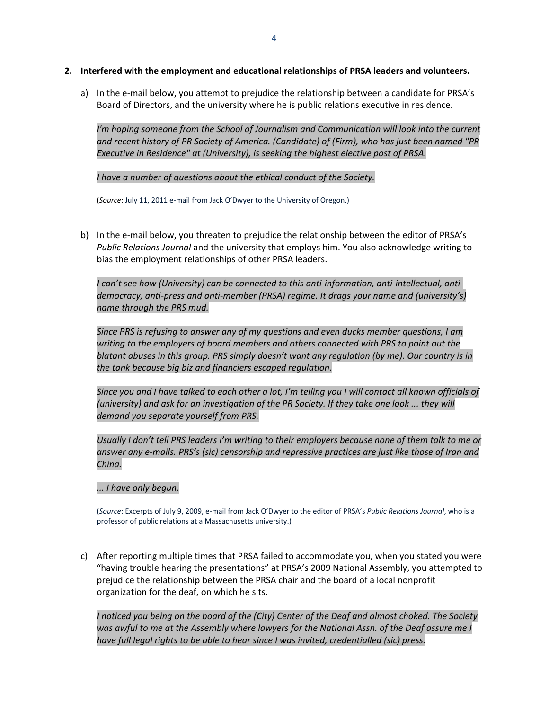- **2. Interfered with the employment and educational relationships of PRSA leaders and volunteers.**
	- a) In the e-mail below, you attempt to prejudice the relationship between a candidate for PRSA's Board of Directors, and the university where he is public relations executive in residence.

*I'm hoping someone from the School of Journalism and Communication will look into the current and recent history of PR Society of America. (Candidate) of (Firm), who has just been named "PR Executive in Residence" at (University), is seeking the highest elective post of PRSA.*

*I have a number of questions about the ethical conduct of the Society.*

(*Source*: July 11, 2011 e‐mail from Jack O'Dwyer to the University of Oregon.)

b) In the e-mail below, you threaten to prejudice the relationship between the editor of PRSA's *Public Relations Journal* and the university that employs him. You also acknowledge writing to bias the employment relationships of other PRSA leaders.

*I can't see how (University) can be connected to this anti‐information, anti‐intellectual, anti‐ democracy, anti‐press and anti‐member (PRSA) regime. It drags your name and (university's) name through the PRS mud.*

*Since PRS is refusing to answer any of my questions and even ducks member questions, I am writing to the employers of board members and others connected with PRS to point out the blatant abuses in this group. PRS simply doesn't want any regulation (by me). Our country is in the tank because big biz and financiers escaped regulation.*

Since you and I have talked to each other a lot, I'm telling you I will contact all known officials of *(university) and ask for an investigation of the PR Society. If they take one look ... they will demand you separate yourself from PRS.*

Usually I don't tell PRS leaders I'm writing to their employers because none of them talk to me or answer any e-mails. PRS's (sic) censorship and repressive practices are just like those of Iran and *China.*

*... I have only begun.*

(*Source*: Excerpts of July 9, 2009, e‐mail from Jack O'Dwyer to the editor of PRSA's *Public Relations Journal*, who is a professor of public relations at a Massachusetts university.)

c) After reporting multiple times that PRSA failed to accommodate you, when you stated you were "having trouble hearing the presentations" at PRSA's 2009 National Assembly, you attempted to prejudice the relationship between the PRSA chair and the board of a local nonprofit organization for the deaf, on which he sits.

I noticed you being on the board of the (City) Center of the Deaf and almost choked. The Society was awful to me at the Assembly where lawyers for the National Assn. of the Deaf assure me I *have full legal rights to be able to hear since I was invited, credentialled (sic) press.*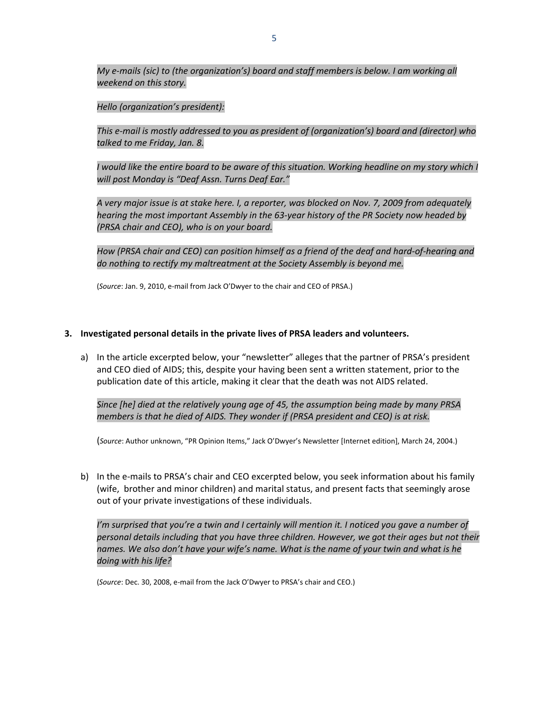*My e‐mails (sic) to (the organization's) board and staff members is below. I am working all weekend on this story.*

### *Hello (organization's president):*

*This e‐mail is mostly addressed to you as president of (organization's) board and (director) who talked to me Friday, Jan. 8.*

I would like the entire board to be aware of this situation. Working headline on my story which I *will post Monday is "Deaf Assn. Turns Deaf Ear."*

A very major issue is at stake here. I, a reporter, was blocked on Nov. 7, 2009 from adequately *hearing the most important Assembly in the 63‐year history of the PR Society now headed by (PRSA chair and CEO), who is on your board.*

How (PRSA chair and CEO) can position himself as a friend of the deaf and hard-of-hearing and *do nothing to rectify my maltreatment at the Society Assembly is beyond me.*

(*Source*: Jan. 9, 2010, e‐mail from Jack O'Dwyer to the chair and CEO of PRSA.)

### **3. Investigated personal details in the private lives of PRSA leaders and volunteers.**

a) In the article excerpted below, your "newsletter" alleges that the partner of PRSA's president and CEO died of AIDS; this, despite your having been sent a written statement, prior to the publication date of this article, making it clear that the death was not AIDS related.

*Since [he] died at the relatively young age of 45, the assumption being made by many PRSA members is that he died of AIDS. They wonder if (PRSA president and CEO) is at risk.*

(*Source*: Author unknown, "PR Opinion Items," Jack O'Dwyer's Newsletter [Internet edition], March 24, 2004.)

b) In the e-mails to PRSA's chair and CEO excerpted below, you seek information about his family (wife, brother and minor children) and marital status, and present facts that seemingly arose out of your private investigations of these individuals.

I'm surprised that you're a twin and I certainly will mention it. I noticed you gave a number of *personal details including that you have three children. However, we got their ages but not their names. We also don't have your wife's name. What is the name of your twin and what is he doing with his life?*

(*Source*: Dec. 30, 2008, e‐mail from the Jack O'Dwyer to PRSA's chair and CEO.)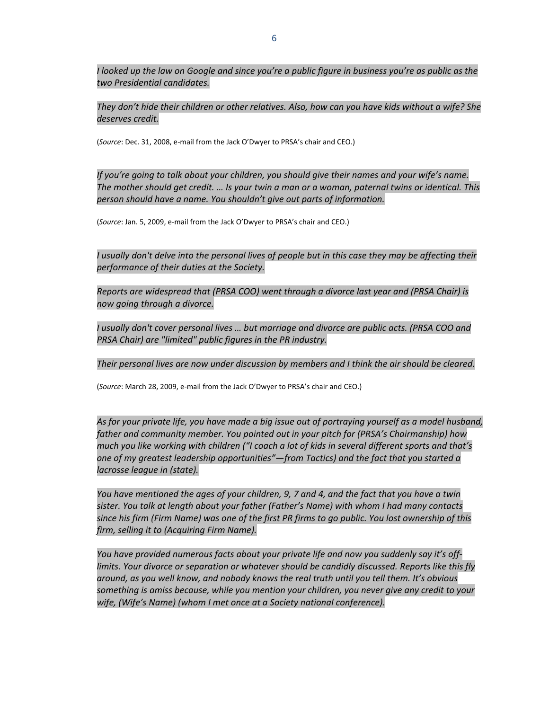I looked up the law on Google and since you're a public figure in business you're as public as the *two Presidential candidates.*

*They don't hide their children or other relatives. Also, how can you have kids without a wife? She deserves credit.*

(*Source*: Dec. 31, 2008, e‐mail from the Jack O'Dwyer to PRSA's chair and CEO.)

*If you're going to talk about your children, you should give their names and your wife's name.* The mother should get credit. ... Is your twin a man or a woman, paternal twins or identical. This *person should have a name. You shouldn't give out parts of information.*

(*Source*: Jan. 5, 2009, e‐mail from the Jack O'Dwyer to PRSA's chair and CEO.)

I usually don't delve into the personal lives of people but in this case they may be affecting their *performance of their duties at the Society.*

*Reports are widespread that (PRSA COO) went through a divorce last year and (PRSA Chair) is now going through a divorce.*

*I usually don't cover personal lives … but marriage and divorce are public acts. (PRSA COO and PRSA Chair) are "limited" public figures in the PR industry.*

*Their personal lives are now under discussion by members and I think the air should be cleared.*

(*Source*: March 28, 2009, e‐mail from the Jack O'Dwyer to PRSA's chair and CEO.)

As for your private life, you have made a big issue out of portraying yourself as a model husband, *father and community member. You pointed out in your pitch for (PRSA's Chairmanship) how much you like working with children ("I coach a lot of kids in several different sports and that's one of my greatest leadership opportunities"—from Tactics) and the fact that you started a lacrosse league in (state).*

You have mentioned the ages of your children, 9, 7 and 4, and the fact that you have a twin *sister. You talk at length about your father (Father's Name) with whom I had many contacts* since his firm (Firm Name) was one of the first PR firms to go public. You lost ownership of this *firm, selling it to (Acquiring Firm Name).*

*You have provided numerous facts about your private life and now you suddenly say it's off‐ limits. Your divorce or separation or whatever should be candidly discussed. Reports like this fly around, as you well know, and nobody knows the real truth until you tell them. It's obvious something is amiss because, while you mention your children, you never give any credit to your wife, (Wife's Name) (whom I met once at a Society national conference).*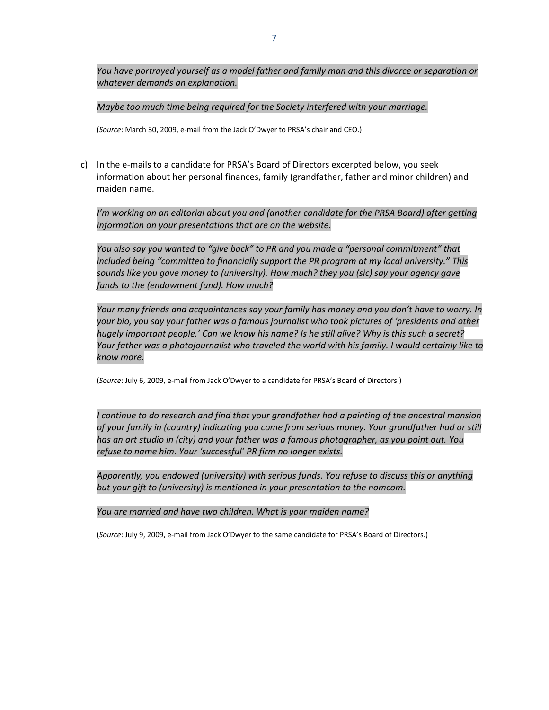*You have portrayed yourself as a model father and family man and this divorce or separation or whatever demands an explanation.*

*Maybe too much time being required for the Society interfered with your marriage.*

(*Source*: March 30, 2009, e‐mail from the Jack O'Dwyer to PRSA's chair and CEO.)

c) In the e‐mails to a candidate for PRSA's Board of Directors excerpted below, you seek information about her personal finances, family (grandfather, father and minor children) and maiden name.

*I'm working on an editorial about you and (another candidate for the PRSA Board) after getting information on your presentations that are on the website.*

*You also say you wanted to "give back" to PR and you made a "personal commitment" that included being "committed to financially support the PR program at my local university." This sounds like you gave money to (university). How much? they you (sic) say your agency gave funds to the (endowment fund). How much?*

*Your many friends and acquaintances say your family has money and you don't have to worry. In your bio, you say your father was a famous journalist who took pictures of 'presidents and other hugely important people.' Can we know his name? Is he still alive? Why is this such a secret? Your father was a photojournalist who traveled the world with his family. I would certainly like to know more.*

(*Source*: July 6, 2009, e‐mail from Jack O'Dwyer to a candidate for PRSA's Board of Directors.)

*I continue to do research and find that your grandfather had a painting of the ancestral mansion of your family in (country) indicating you come from serious money. Your grandfather had or still has an art studio in (city) and your father was a famous photographer, as you point out. You refuse to name him. Your 'successful' PR firm no longer exists.*

*Apparently, you endowed (university) with serious funds. You refuse to discuss this or anything but your gift to (university) is mentioned in your presentation to the nomcom.*

*You are married and have two children. What is your maiden name?*

(*Source*: July 9, 2009, e‐mail from Jack O'Dwyer to the same candidate for PRSA's Board of Directors.)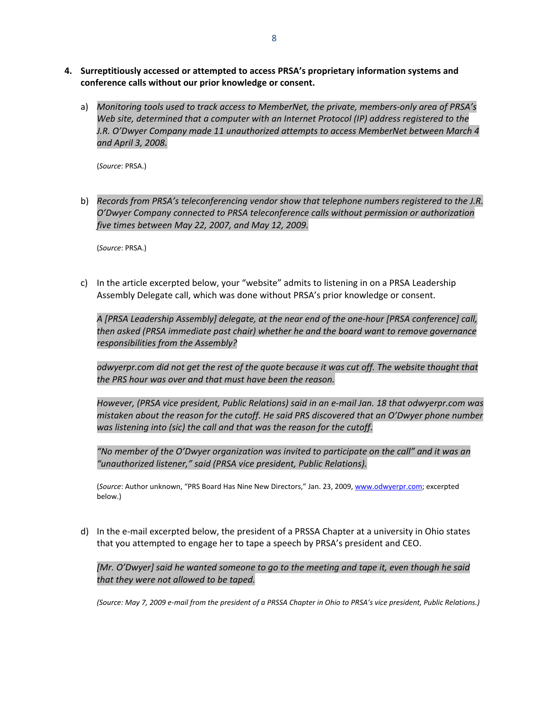- **4. Surreptitiously accessed or attempted to access PRSA's proprietary information systems and conference calls without our prior knowledge or consent.** 
	- a) *Monitoring tools used to track access to MemberNet, the private, members‐only area of PRSA's Web site, determined that a computer with an Internet Protocol (IP) address registered to the J.R. O'Dwyer Company made 11 unauthorized attempts to access MemberNet between March 4 and April 3, 2008.*

(*Source*: PRSA.)

b) *Records from PRSA's teleconferencing vendor show that telephone numbers registered to the J.R. O'Dwyer Company connected to PRSA teleconference calls without permission or authorization five times between May 22, 2007, and May 12, 2009.*

(*Source*: PRSA.)

c) In the article excerpted below, your "website" admits to listening in on a PRSA Leadership Assembly Delegate call, which was done without PRSA's prior knowledge or consent.

*A [PRSA Leadership Assembly] delegate, at the near end of the one‐hour [PRSA conference] call, then asked (PRSA immediate past chair) whether he and the board want to remove governance responsibilities from the Assembly?*

*odwyerpr.com did not get the rest of the quote because it was cut off. The website thought that the PRS hour was over and that must have been the reason.*

*However, (PRSA vice president, Public Relations) said in an e‐mail Jan. 18 that odwyerpr.com was mistaken about the reason for the cutoff. He said PRS discovered that an O'Dwyer phone number was listening into (sic) the call and that was the reason for the cutoff.*

*"No member of the O'Dwyer organization was invited to participate on the call" and it was an "unauthorized listener," said (PRSA vice president, Public Relations).*

(*Source*: Author unknown, "PRS Board Has Nine New Directors," Jan. 23, 2009, [www.odwyerpr.com](http://www.odwyerpr.com/); excerpted below.)

d) In the e-mail excerpted below, the president of a PRSSA Chapter at a university in Ohio states that you attempted to engage her to tape a speech by PRSA's president and CEO.

 *[Mr. O'Dwyer] said he wanted someone to go to the meeting and tape it, even though he said that they were not allowed to be taped.*

(Source: May 7, 2009 e-mail from the president of a PRSSA Chapter in Ohio to PRSA's vice president, Public Relations.)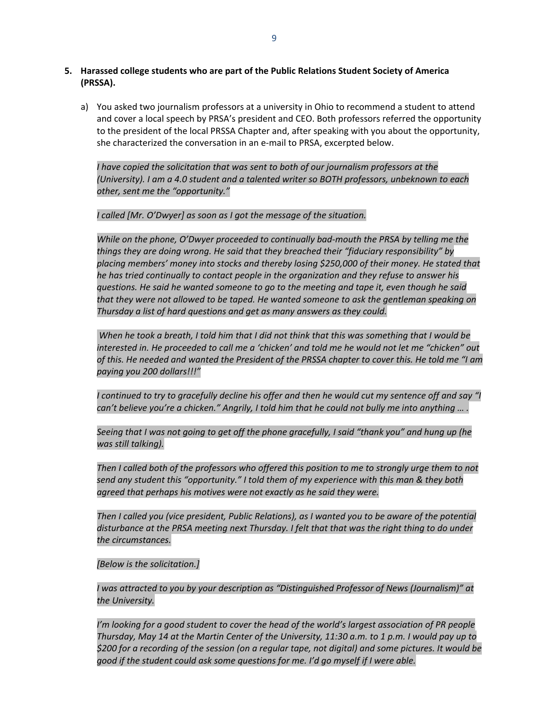- **5. Harassed college students who are part of the Public Relations Student Society of America (PRSSA).** 
	- a) You asked two journalism professors at a university in Ohio to recommend a student to attend and cover a local speech by PRSA's president and CEO. Both professors referred the opportunity to the president of the local PRSSA Chapter and, after speaking with you about the opportunity, she characterized the conversation in an e‐mail to PRSA, excerpted below.

*I have copied the solicitation that was sent to both of our journalism professors at the (University). I am a 4.0 student and a talented writer so BOTH professors, unbeknown to each other, sent me the "opportunity."*

#### *I called [Mr. O'Dwyer] as soon as I got the message of the situation.*

*While on the phone, O'Dwyer proceeded to continually bad‐mouth the PRSA by telling me the things they are doing wrong. He said that they breached their "fiduciary responsibility" by placing members' money into stocks and thereby losing \$250,000 of their money. He stated that he has tried continually to contact people in the organization and they refuse to answer his questions. He said he wanted someone to go to the meeting and tape it, even though he said that they were not allowed to be taped. He wanted someone to ask the gentleman speaking on Thursday a list of hard questions and get as many answers as they could.*

When he took a breath, I told him that I did not think that this was something that I would be interested in. He proceeded to call me a 'chicken' and told me he would not let me "chicken" out of this. He needed and wanted the President of the PRSSA chapter to cover this. He told me "I am *paying you 200 dollars!!!"*

I continued to try to gracefully decline his offer and then he would cut my sentence off and say "I can't believe you're a chicken." Angrily, I told him that he could not bully me into anything ... .

Seeing that I was not going to get off the phone gracefully, I said "thank you" and hung up (he *was still talking).*

Then I called both of the professors who offered this position to me to strongly urge them to not *send any student this "opportunity." I told them of my experience with this man & they both agreed that perhaps his motives were not exactly as he said they were.*

*Then I called you (vice president, Public Relations), as I wanted you to be aware of the potential disturbance at the PRSA meeting next Thursday. I felt that that was the right thing to do under the circumstances.*

*[Below is the solicitation.]*

*I was attracted to you by your description as "Distinguished Professor of News (Journalism)" at the University.*

*I'm looking for a good student to cover the head of the world's largest association of PR people* Thursday, May 14 at the Martin Center of the University, 11:30 a.m. to 1 p.m. I would pay up to \$200 for a recording of the session (on a regular tape, not digital) and some pictures. It would be *good if the student could ask some questions for me. I'd go myself if I were able.*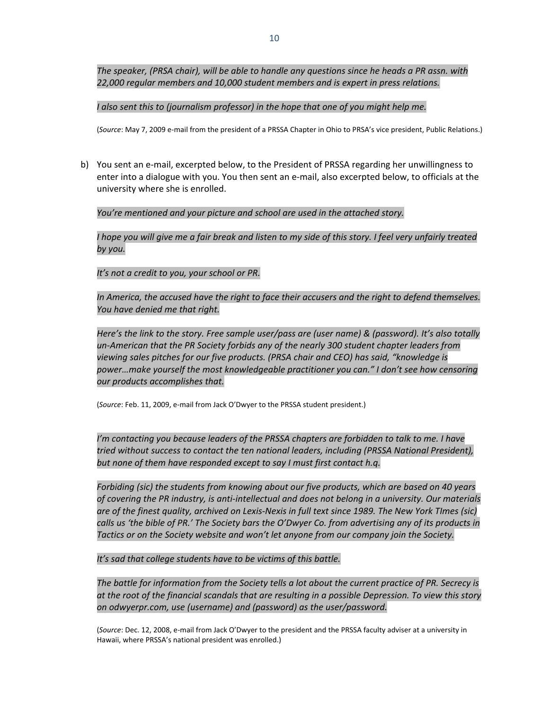*The speaker, (PRSA chair), will be able to handle any questions since he heads a PR assn. with 22,000 regular members and 10,000 student members and is expert in press relations.*

#### *I also sent this to (journalism professor) in the hope that one of you might help me.*

(*Source*: May 7, 2009 e‐mail from the president of a PRSSA Chapter in Ohio to PRSA's vice president, Public Relations.)

b) You sent an e‐mail, excerpted below, to the President of PRSSA regarding her unwillingness to enter into a dialogue with you. You then sent an e‐mail, also excerpted below, to officials at the university where she is enrolled.

### *You're mentioned and your picture and school are used in the attached story.*

I hope you will give me a fair break and listen to my side of this story. I feel very unfairly treated *by you.*

#### *It's not a credit to you, your school or PR.*

*In America, the accused have the right to face their accusers and the right to defend themselves. You have denied me that right.*

*Here's the link to the story. Free sample user/pass are (user name) & (password). It's also totally un‐American that the PR Society forbids any of the nearly 300 student chapter leaders from viewing sales pitches for our five products. (PRSA chair and CEO) has said, "knowledge is power…make yourself the most knowledgeable practitioner you can." I don't see how censoring our products accomplishes that.*

(*Source*: Feb. 11, 2009, e‐mail from Jack O'Dwyer to the PRSSA student president.)

*I'm contacting you because leaders of the PRSSA chapters are forbidden to talk to me. I have tried without success to contact the ten national leaders, including (PRSSA National President), but none of them have responded except to say I must first contact h.q.*

*Forbiding (sic) the students from knowing about our five products, which are based on 40 years* of covering the PR industry, is anti-intellectual and does not belong in a university. Our materials are of the finest quality, archived on Lexis-Nexis in full text since 1989. The New York TImes (sic) calls us 'the bible of PR.' The Society bars the O'Dwyer Co. from advertising any of its products in *Tactics or on the Society website and won't let anyone from our company join the Society.*

*It's sad that college students have to be victims of this battle.*

The battle for information from the Society tells a lot about the current practice of PR. Secrecy is at the root of the financial scandals that are resulting in a possible Depression. To view this story *on [odwyerpr.com,](http://odwyerpr.com/) use (username) and (password) as the user/password.*

(*Source*: Dec. 12, 2008, e‐mail from Jack O'Dwyer to the president and the PRSSA faculty adviser at a university in Hawaii, where PRSSA's national president was enrolled.)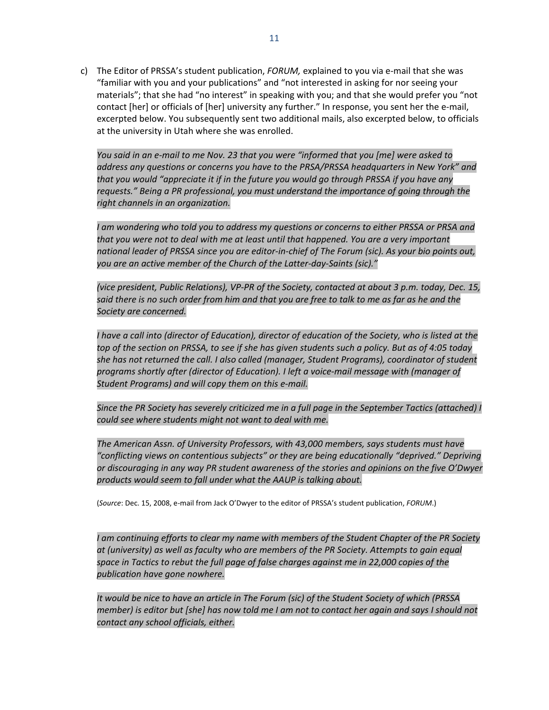c) The Editor of PRSSA's student publication, *FORUM*, explained to you via e-mail that she was "familiar with you and your publications" and "not interested in asking for nor seeing your materials"; that she had "no interest" in speaking with you; and that she would prefer you "not contact [her] or officials of [her] university any further." In response, you sent her the e‐mail, excerpted below. You subsequently sent two additional mails, also excerpted below, to officials at the university in Utah where she was enrolled.

You said in an e-mail to me Nov. 23 that you were "informed that you [me] were asked to *address any questions or concerns you have to the PRSA/PRSSA headquarters in New York" and that you would "appreciate it if in the future you would go through PRSSA if you have any requests." Being a PR professional, you must understand the importance of going through the right channels in an organization.*

*I am wondering who told you to address my questions or concerns to either PRSSA or PRSA and that you were not to deal with me at least until that happened. You are a very important* national leader of PRSSA since you are editor-in-chief of The Forum (sic). As your bio points out, *you are an active member of the Church of the Latter‐day‐Saints (sic)."*

(vice president, Public Relations), VP-PR of the Society, contacted at about 3 p.m. today, Dec. 15, said there is no such order from him and that you are free to talk to me as far as he and the *Society are concerned.*

I have a call into (director of Education), director of education of the Society, who is listed at the top of the section on PRSSA, to see if she has given students such a policy. But as of 4:05 today *she has not returned the call. I also called (manager, Student Programs), coordinator of student programs shortly after (director of Education). I left a voice‐mail message with (manager of Student Programs) and will copy them on this e‐mail.*

Since the PR Society has severely criticized me in a full page in the September Tactics (attached) I *could see where students might not want to deal with me.*

*The American Assn. of University Professors, with 43,000 members, says students must have "conflicting views on contentious subjects" or they are being educationally "deprived." Depriving or discouraging in any way PR student awareness of the stories and opinions on the five O'Dwyer products would seem to fall under what the AAUP is talking about.*

(*Source*: Dec. 15, 2008, e‐mail from Jack O'Dwyer to the editor of PRSSA's student publication, *FORUM*.)

*I am continuing efforts to clear my name with members of the Student Chapter of the PR Society at (university) as well as faculty who are members of the PR Society. Attempts to gain equal space in Tactics to rebut the full page of false charges against me in 22,000 copies of the publication have gone nowhere.*

It would be nice to have an article in The Forum (sic) of the Student Society of which (PRSSA member) is editor but [she] has now told me I am not to contact her again and says I should not *contact any school officials, either.*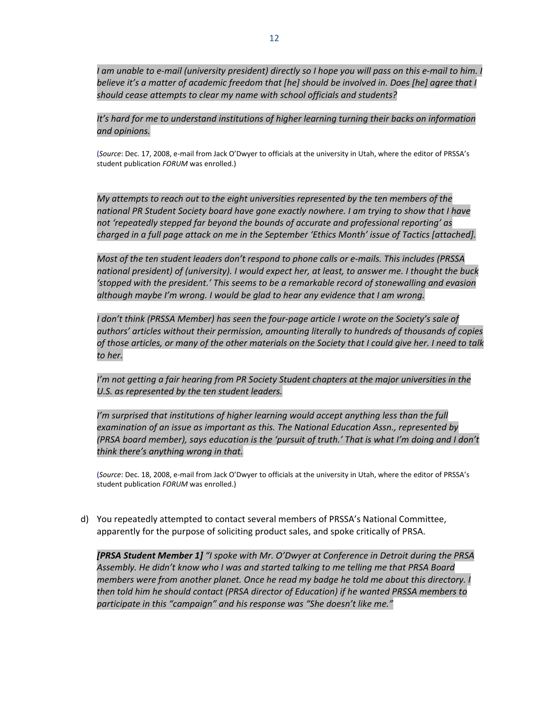I am unable to e-mail (university president) directly so I hope you will pass on this e-mail to him. I *believe it's a matter of academic freedom that [he] should be involved in. Does [he] agree that I should cease attempts to clear my name with school officials and students?*

*It's hard for me to understand institutions of higher learning turning their backs on information and opinions.*

(*Source*: Dec. 17, 2008, e‐mail from Jack O'Dwyer to officials at the university in Utah, where the editor of PRSSA's student publication *FORUM* was enrolled.)

*My attempts to reach out to the eight universities represented by the ten members of the national PR Student Society board have gone exactly nowhere. I am trying to show that I have not 'repeatedly stepped far beyond the bounds of accurate and professional reporting' as charged in a full page attack on me in the September 'Ethics Month' issue of Tactics [attached].*

*Most of the ten student leaders don't respond to phone calls or e‐mails. This includes (PRSSA national president) of (university). I would expect her, at least, to answer me. I thought the buck 'stopped with the president.' This seems to be a remarkable record of stonewalling and evasion although maybe I'm wrong. I would be glad to hear any evidence that I am wrong.*

I don't think (PRSSA Member) has seen the four-page article I wrote on the Society's sale of *authors' articles without their permission, amounting literally to hundreds of thousands of copies* of those articles, or many of the other materials on the Society that I could give her. I need to talk *to her.*

*I'm not getting a fair hearing from PR Society Student chapters at the major universities in the U.S. as represented by the ten student leaders.*

*I'm surprised that institutions of higher learning would accept anything less than the full examination of an issue as important as this. The National Education Assn., represented by (PRSA board member), says education is the 'pursuit of truth.' That is what I'm doing and I don't think there's anything wrong in that.*

(*Source*: Dec. 18, 2008, e‐mail from Jack O'Dwyer to officials at the university in Utah, where the editor of PRSSA's student publication *FORUM* was enrolled.)

d) You repeatedly attempted to contact several members of PRSSA's National Committee, apparently for the purpose of soliciting product sales, and spoke critically of PRSA.

*[PRSA Student Member 1] "I spoke with Mr. O'Dwyer at Conference in Detroit during the PRSA Assembly. He didn't know who I was and started talking to me telling me that PRSA Board members were from another planet. Once he read my badge he told me about this directory. I then told him he should contact (PRSA director of Education) if he wanted PRSSA members to participate in this "campaign" and his response was "She doesn't like me."*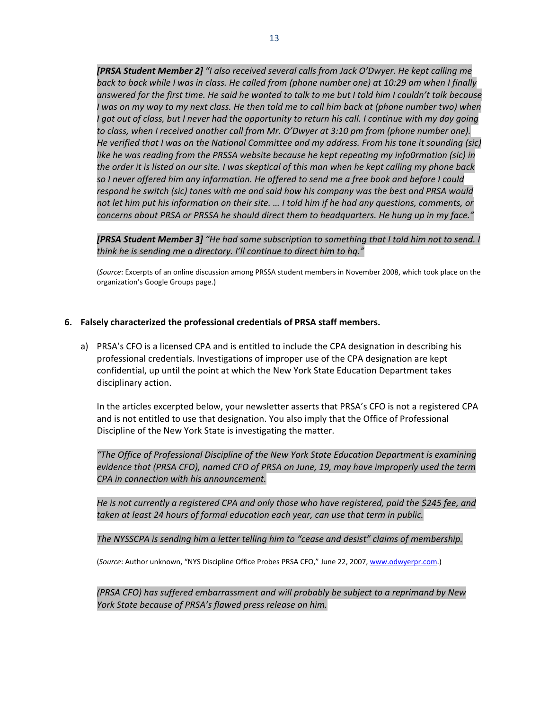*[PRSA Student Member 2] "I also received several calls from Jack O'Dwyer. He kept calling me* back to back while I was in class. He called from (phone number one) at 10:29 am when I finally answered for the first time. He said he wanted to talk to me but I told him I couldn't talk because I was on my way to my next class. He then told me to call him back at (phone number two) when I got out of class, but I never had the opportunity to return his call. I continue with my day going *to class, when I received another call from Mr. O'Dwyer at 3:10 pm from (phone number one). He verified that I was on the National Committee and my address. From his tone it sounding (sic) like he was reading from the PRSSA website because he kept repeating my info0rmation (sic) in* the order it is listed on our site. I was skeptical of this man when he kept calling my phone back so I never offered him any information. He offered to send me a free book and before I could *respond he switch (sic) tones with me and said how his company was the best and PRSA would* not let him put his information on their site. ... I told him if he had any questions, comments, or *concerns about PRSA or PRSSA he should direct them to headquarters. He hung up in my face."*

*[PRSA Student Member 3] "He had some subscription to something that I told him not to send. I think he is sending me a directory. I'll continue to direct him to hq."*

(*Source*: Excerpts of an online discussion among PRSSA student members in November 2008, which took place on the organization's Google Groups page.)

#### **6. Falsely characterized the professional credentials of PRSA staff members.**

a) PRSA's CFO is a licensed CPA and is entitled to include the CPA designation in describing his professional credentials. Investigations of improper use of the CPA designation are kept confidential, up until the point at which the New York State Education Department takes disciplinary action.

In the articles excerpted below, your newsletter asserts that PRSA's CFO is not a registered CPA and is not entitled to use that designation. You also imply that the Office of Professional Discipline of the New York State is investigating the matter.

*"The Office of Professional Discipline of the New York State Education Department is examining evidence that (PRSA CFO), named CFO of PRSA on June, 19, may have improperly used the term CPA in connection with his announcement.*

*He is not currently a registered CPA and only those who have registered, paid the \$245 fee, and taken at least 24 hours of formal education each year, can use that term in public.*

*The NYSSCPA is sending him a letter telling him to "cease and desist" claims of membership.*

(*Source*: Author unknown, "NYS Discipline Office Probes PRSA CFO," June 22, 2007, [www.odwyerpr.com.](http://www.odwyerpr.com/))

*(PRSA CFO) has suffered embarrassment and will probably be subject to a reprimand by New York State because of PRSA's flawed press release on him.*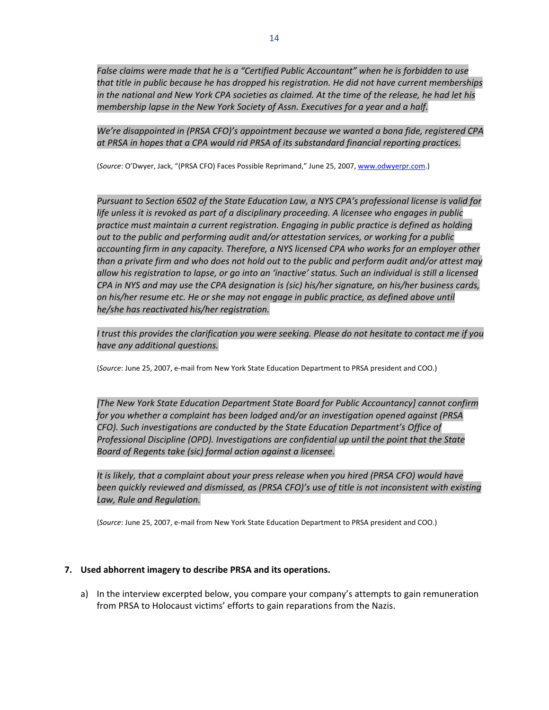*False claims were made that he is a "Certified Public Accountant" when he is forbidden to use that title in public because he has dropped his registration. He did not have current memberships* in the national and New York CPA societies as claimed. At the time of the release, he had let his *membership lapse in the New York Society of Assn. Executives for a year and a half.*

*We're disappointed in (PRSA CFO)'s appointment because we wanted a bona fide, registered CPA at PRSA in hopes that a CPA would rid PRSA of its substandard financial reporting practices.*

(*Source*: O'Dwyer, Jack, "(PRSA CFO) Faces Possible Reprimand," June 25, 2007, [www.odwyerpr.com](http://www.odwyerpr.com/).)

*Pursuant to Section 6502 of the State Education Law, a NYS CPA's professional license is valid for life unless it is revoked as part of a disciplinary proceeding. A licensee who engages in public practice must maintain a current registration. Engaging in public practice is defined as holding out to the public and performing audit and/or attestation services, or working for a public accounting firm in any capacity. Therefore, a NYS licensed CPA who works for an employer other* than a private firm and who does not hold out to the public and perform audit and/or attest may allow his registration to lapse, or go into an 'inactive' status. Such an individual is still a licensed *CPA in NYS and may use the CPA designation is (sic) his/her signature, on his/her business cards, on his/her resume etc. He or she may not engage in public practice, as defined above until he/she has reactivated his/her registration.*

I trust this provides the clarification you were seeking. Please do not hesitate to contact me if you *have any additional questions.*

(*Source*: June 25, 2007, e‐mail from New York State Education Department to PRSA president and COO.)

*[The New York State Education Department State Board for Public Accountancy] cannot confirm for you whether a complaint has been lodged and/or an investigation opened against (PRSA CFO). Such investigations are conducted by the State Education Department's Office of Professional Discipline (OPD). Investigations are confidential up until the point that the State Board of Regents take (sic) formal action against a licensee.*

*It is likely, that a complaint about your press release when you hired (PRSA CFO) would have been quickly reviewed and dismissed, as (PRSA CFO)'s use of title is not inconsistent with existing Law, Rule and Regulation.*

(*Source*: June 25, 2007, e‐mail from New York State Education Department to PRSA president and COO.)

## **7. Used abhorrent imagery to describe PRSA and its operations.**

a) In the interview excerpted below, you compare your company's attempts to gain remuneration from PRSA to Holocaust victims' efforts to gain reparations from the Nazis.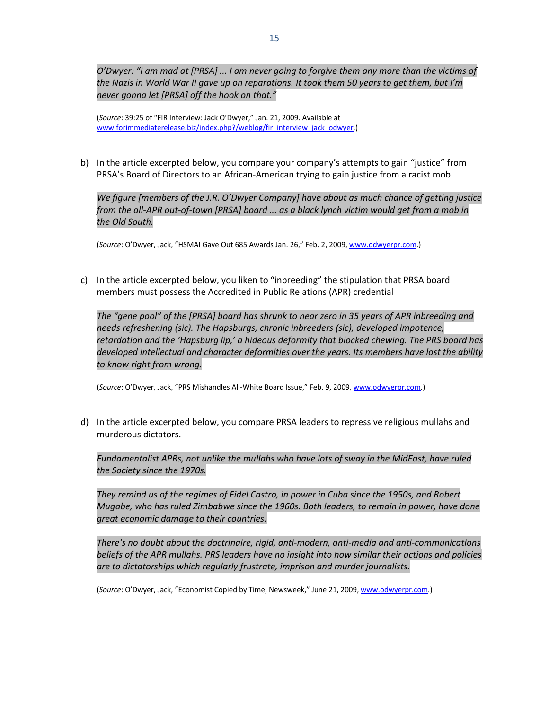O'Dwyer: "I am mad at [PRSA] ... I am never going to forgive them any more than the victims of the Nazis in World War II gave up on reparations. It took them 50 years to get them, but I'm *never gonna let [PRSA] off the hook on that."*

(*Source*: 39:25 of "FIR Interview: Jack O'Dwyer," Jan. 21, 2009. Available at [www.forimmediaterelease.biz/index.php?/weblog/fir\\_interview\\_jack\\_odwyer](http://www.forimmediaterelease.biz/index.php?/weblog/fir_interview_jack_odwyer).)

b) In the article excerpted below, you compare your company's attempts to gain "justice" from PRSA's Board of Directors to an African‐American trying to gain justice from a racist mob.

 *We figure [members of the J.R. O'Dwyer Company] have about as much chance of getting justice* from the all-APR out-of-town [PRSA] board ... as a black lynch victim would get from a mob in *the Old South.*

(*Source*: O'Dwyer, Jack, "HSMAI Gave Out 685 Awards Jan. 26," Feb. 2, 2009, [www.odwyerpr.com.](http://www.odwyerpr.com/))

c) In the article excerpted below, you liken to "inbreeding" the stipulation that PRSA board members must possess the Accredited in Public Relations (APR) credential

The "gene pool" of the [PRSA] board has shrunk to near zero in 35 years of APR inbreeding and *needs refreshening (sic). The Hapsburgs, chronic inbreeders (sic), developed impotence, retardation and the 'Hapsburg lip,' a hideous deformity that blocked chewing. The PRS board has developed intellectual and character deformities over the years. Its members have lost the ability to know right from wrong.*

(*Source*: O'Dwyer, Jack, "PRS Mishandles All‐White Board Issue," Feb. 9, 2009, [www.odwyerpr.com](http://www.odwyerpr.com/).)

d) In the article excerpted below, you compare PRSA leaders to repressive religious mullahs and murderous dictators.

*Fundamentalist APRs, not unlike the mullahs who have lots of sway in the MidEast, have ruled the Society since the 1970s.*

*They remind us of the regimes of Fidel Castro, in power in Cuba since the 1950s, and Robert Mugabe, who has ruled Zimbabwe since the 1960s. Both leaders, to remain in power, have done great economic damage to their countries.*

*There's no doubt about the doctrinaire, rigid, anti‐modern, anti‐media and anti‐communications beliefs of the APR mullahs. PRS leaders have no insight into how similar their actions and policies are to dictatorships which regularly frustrate, imprison and murder journalists.*

(*Source*: O'Dwyer, Jack, "Economist Copied by Time, Newsweek," June 21, 2009, [www.odwyerpr.com](http://www.odwyerpr.com/).)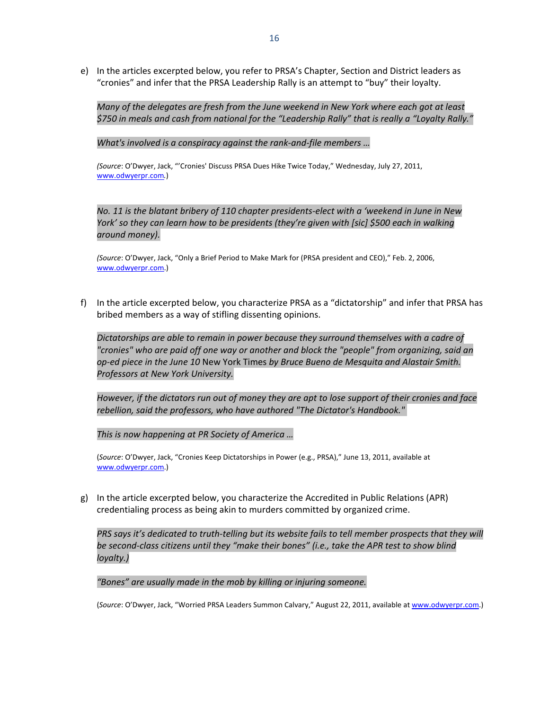e) In the articles excerpted below, you refer to PRSA's Chapter, Section and District leaders as "cronies" and infer that the PRSA Leadership Rally is an attempt to "buy" their loyalty.

*Many of the delegates are fresh from the June weekend in New York where each got at least \$750 in meals and cash from national for the "Leadership Rally" that is really a "Loyalty Rally."*

*What's involved is a conspiracy against the rank‐and‐file members …* 

*(Source*: O'Dwyer, Jack, ["'Cronies'](http://www.odwyerpr.com/blog/index.php?/archives/2984-Cronies-Discuss-PRSA-Dues-Hike-Twice-Today.html) Discuss PRSA Dues Hike Twice Today," Wednesday, July 27, 2011, [www.odwyerpr.com](http://www.odwyerpr.com/)*.*)

No. 11 is the blatant bribery of 110 chapter presidents-elect with a 'weekend in June in New *York' so they can learn how to be presidents (they're given with [sic] \$500 each in walking around money).*

*(Source*: O'Dwyer, Jack, "Only a Brief Period to Make Mark for (PRSA president and CEO)," Feb. 2, 2006, [www.odwyerpr.com](http://www.odwyerpr.com/).)

f) In the article excerpted below, you characterize PRSA as a "dictatorship" and infer that PRSA has bribed members as a way of stifling dissenting opinions.

*Dictatorships are able to remain in power because they surround themselves with a cadre of "cronies" who are paid off one way or another and block the "people" from organizing, said an op‐ed piece in the June 10* New York Times *by Bruce Bueno de [Mesquita](http://www.nytimes.com/2011/06/10/opinion/10DeMesquita.html) and Alastair Smith. Professors at New York University.*

However, if the dictators run out of money they are apt to lose support of their cronies and face *rebellion, said the professors, who have authored "The Dictator's [Handbook."](http://www.amazon.com/Dictators-Handbook-Behavior-Almost-Politics/dp/161039044X)*

*This is now happening at PR Society of America …* 

(*Source*: O'Dwyer, Jack, "Cronies Keep Dictatorships in Power (e.g., PRSA)," June 13, 2011, available at www.odwyerpr.com.)

g) In the article excerpted below, you characterize the Accredited in Public Relations (APR) credentialing process as being akin to murders committed by organized crime.

PRS says it's dedicated to truth-telling but its website fails to tell member prospects that they will *be second‐class citizens until they "make their bones" (i.e., take the APR test to show blind loyalty.)* 

*"Bones" are [usually](http://blogs.jobdig.com/wwds/2006/07/26/making-your-bones/) made in the mob by killing or injuring someone.*

(*Source*: O'Dwyer, Jack, "Worried PRSA Leaders Summon Calvary," August 22, 2011, available at www.odwyerpr.com.)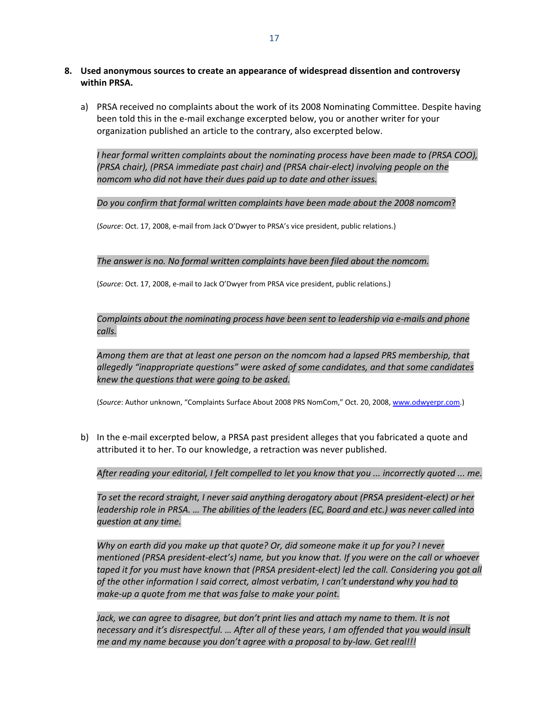- **8. Used anonymous sources to create an appearance of widespread dissention and controversy within PRSA.** 
	- a) PRSA received no complaints about the work of its 2008 Nominating Committee. Despite having been told this in the e‐mail exchange excerpted below, you or another writer for your organization published an article to the contrary, also excerpted below.

*I hear formal written complaints about the nominating process have been made to (PRSA COO), (PRSA chair), (PRSA immediate past chair) and (PRSA chair‐elect) involving people on the nomcom who did not have their dues paid up to date and other issues.*

*Do you confirm that formal written complaints have been made about the 2008 nomcom*?

(*Source*: Oct. 17, 2008, e‐mail from Jack O'Dwyer to PRSA's vice president, public relations.)

#### *The answer is no. No formal written complaints have been filed about the nomcom.*

(*Source*: Oct. 17, 2008, e‐mail to Jack O'Dwyer from PRSA vice president, public relations.)

*Complaints about the nominating process have been sent to leadership via e‐mails and phone calls.*

*Among them are that at least one person on the nomcom had a lapsed PRS membership, that allegedly "inappropriate questions" were asked of some candidates, and that some candidates knew the questions that were going to be asked.*

(*Source*: Author unknown, "Complaints Surface About 2008 PRS NomCom," Oct. 20, 2008, [www.odwyerpr.com](http://www.odwyerpr.com/).)

b) In the e-mail excerpted below, a PRSA past president alleges that you fabricated a quote and attributed it to her. To our knowledge, a retraction was never published.

After reading your editorial, I felt compelled to let you know that you ... incorrectly quoted ... me.

*To set the record straight, I never said anything derogatory about (PRSA president‐elect) or her leadership role in PRSA. … The abilities of the leaders (EC, Board and etc.) was never called into question at any time.*

*Why on earth did you make up that quote? Or, did someone make it up for you? I never mentioned (PRSA president‐elect's) name, but you know that. If you were on the call or whoever* taped it for you must have known that (PRSA president-elect) led the call. Considering you got all *of the other information I said correct, almost verbatim, I can't understand why you had to make‐up a quote from me that was false to make your point.*

*Jack, we can agree to disagree, but don't print lies and attach my name to them. It is not necessary and it's disrespectful. … After all of these years, I am offended that you would insult me and my name because you don't agree with a proposal to by‐law. Get real!!!*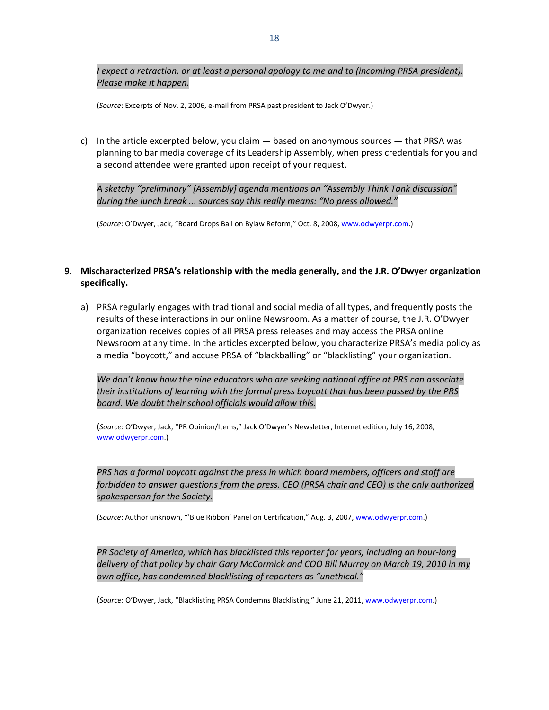*I expect a retraction, or at least a personal apology to me and to (incoming PRSA president). Please make it happen.*

(*Source*: Excerpts of Nov. 2, 2006, e‐mail from PRSA past president to Jack O'Dwyer.)

c) In the article excerpted below, you claim  $-$  based on anonymous sources  $-$  that PRSA was planning to bar media coverage of its Leadership Assembly, when press credentials for you and a second attendee were granted upon receipt of your request.

*A sketchy "preliminary" [Assembly] agenda mentions an "Assembly Think Tank discussion" during the lunch break ... sources say this really means: "No press allowed."*

(*Source*: O'Dwyer, Jack, "Board Drops Ball on Bylaw Reform," Oct. 8, 2008, [www.odwyerpr.com.](http://www.odwyerpr.com/))

# **9. Mischaracterized PRSA's relationship with the media generally, and the J.R. O'Dwyer organization specifically.**

a) PRSA regularly engages with traditional and social media of all types, and frequently posts the results of these interactions in our online Newsroom. As a matter of course, the J.R. O'Dwyer organization receives copies of all PRSA press releases and may access the PRSA online Newsroom at any time. In the articles excerpted below, you characterize PRSA's media policy as a media "boycott," and accuse PRSA of "blackballing" or "blacklisting" your organization.

*We don't know how the nine educators who are seeking national office at PRS can associate their institutions of learning with the formal press boycott that has been passed by the PRS board. We doubt their school officials would allow this.*

(*Source*: O'Dwyer, Jack, "PR Opinion/Items," Jack O'Dwyer's Newsletter, Internet edition, July 16, 2008, [www.odwyerpr.com](http://www.odwyerpr.com/).)

*PRS has a formal boycott against the press in which board members, officers and staff are forbidden to answer questions from the press. CEO (PRSA chair and CEO) is the only authorized spokesperson for the Society.*

(*Source*: Author unknown, "'Blue Ribbon' Panel on Certification," Aug. 3, 2007, [www.odwyerpr.com.](http://www.odwyerpr.com/))

# *PR Society of America, which has blacklisted this reporter for years, [including](http://www.odwyerpr.com/blog/index.php?/archives/856-McCormick,-Murray-Visit-ODwyer-Offices.html) an hour‐long [delivery](http://www.odwyerpr.com/blog/index.php?/archives/856-McCormick,-Murray-Visit-ODwyer-Offices.html) of that policy by chair Gary McCormick and COO Bill Murray on March 19, 2010 in my own office, has condemned blacklisting of reporters as "unethical."*

(*Source*: O'Dwyer, Jack, ["Blacklisting](http://www.odwyerpr.com/blog/index.php?/archives/2771-Blacklisting-PRSA-Condemns-Blacklisting.html) PRSA Condemns Blacklisting," June 21, 2011, [www.odwyerpr.com.](http://www.odwyerpr.com/))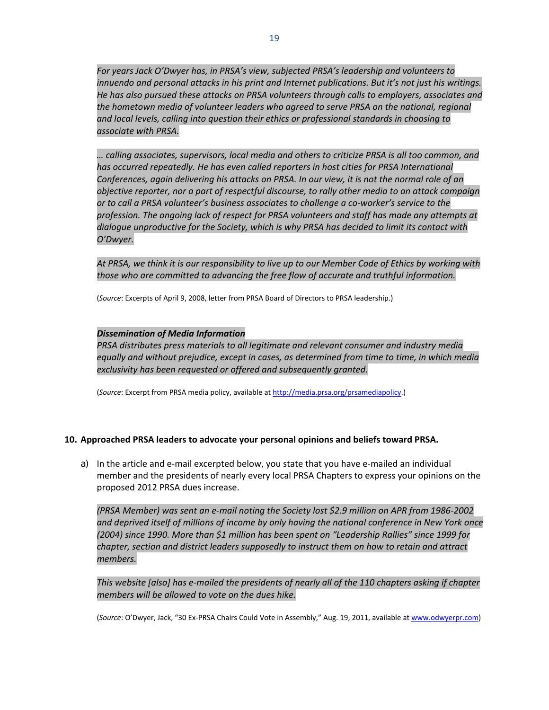*For years Jack O'Dwyer has, in PRSA's view, subjected PRSA's leadership and volunteers to innuendo and personal attacks in his print and Internet publications. But it's not just his writings. He has also pursued these attacks on PRSA volunteers through calls to employers, associates and the hometown media of volunteer leaders who agreed to serve PRSA on the national, regional and local levels, calling into question their ethics or professional standards in choosing to associate with PRSA.*

*… calling associates, supervisors, local media and others to criticize PRSA is all too common, and has occurred repeatedly. He has even called reporters in host cities for PRSA International Conferences, again delivering his attacks on PRSA. In our view, it is not the normal role of an objective reporter, nor a part of respectful discourse, to rally other media to an attack campaign or to call a PRSA volunteer's business associates to challenge a co‐worker's service to the profession. The ongoing lack of respect for PRSA volunteers and staff has made any attempts at dialogue unproductive for the Society, which is why PRSA has decided to limit its contact with O'Dwyer.*

At PRSA, we think it is our responsibility to live up to our Member Code of Ethics by working with *those who are committed to advancing the free flow of accurate and truthful information.*

(*Source*: Excerpts of April 9, 2008, letter from PRSA Board of Directors to PRSA leadership.)

## *Dissemination of Media Information*

*PRSA distributes press materials to all legitimate and relevant consumer and industry media equally and without prejudice, except in cases, as determined from time to time, in which media exclusivity has been requested or offered and subsequently granted.*

(*Source*: Excerpt from PRSA media policy, available at [http://media.prsa.org/prsamediapolicy.](http://media.prsa.org/prsamediapolicy))

## **10. Approached PRSA leaders to advocate your personal opinions and beliefs toward PRSA.**

a) In the article and e-mail excerpted below, you state that you have e-mailed an individual member and the presidents of nearly every local PRSA Chapters to express your opinions on the proposed 2012 PRSA dues increase.

(PRSA Member) was sent an e-mail noting the Society lost \$2.9 million on APR from 1986-2002 *and deprived itself of millions of income by only having the national conference in New York once (2004) since 1990. More than \$1 million has been spent on "Leadership Rallies" since 1999 for chapter, section and district leaders supposedly to instruct them on how to retain and attract members.*

This website [also] has e-mailed the presidents of nearly all of the 110 chapters asking if chapter *members will be allowed to vote on the dues hike.*

(*Source*: O'Dwyer, Jack, "30 Ex‐PRSA Chairs Could Vote in [Assembly,](http://www.odwyerpr.com/blog/index.php?/archives/3112-30-Ex-PRSA-Chairs-Could-Vote-in-Assembly.html)" Aug. 19, 2011, available at [www.odwyerpr.com\)](http://www.odwyerpr.com/)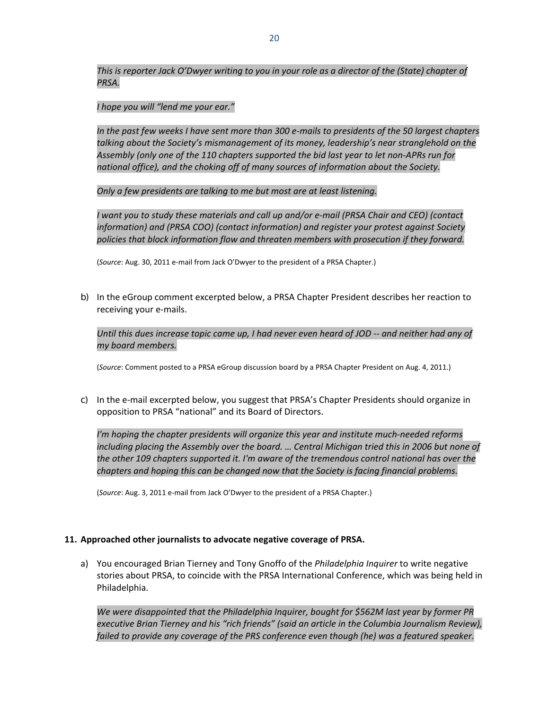This is reporter Jack O'Dwyer writing to you in your role as a director of the (State) chapter of *PRSA.*

## *I hope you will "lend me your ear."*

In the past few weeks I have sent more than 300 e-mails to presidents of the 50 largest chapters *talking about the Society's mismanagement of its money, leadership's near stranglehold on the Assembly (only one of the 110 chapters supported the bid last year to let non‐APRs run for national office), and the choking off of many sources of information about the Society.*

*Only a few presidents are talking to me but most are at least listening.*

*I want you to study these materials and call up and/or e‐mail (PRSA Chair and CEO) (contact information) and (PRSA COO) (contact information) and register your protest against Society policies that block information flow and threaten members with prosecution if they forward.* 

(*Source*: Aug. 30, 2011 e‐mail from Jack O'Dwyer to the president of a PRSA Chapter.)

b) In the eGroup comment excerpted below, a PRSA Chapter President describes her reaction to receiving your e‐mails.

Until this dues increase topic came up, I had never even heard of JOD -- and neither had any of *my board members.*

(*Source*: Comment posted to a PRSA eGroup discussion board by a PRSA Chapter President on Aug. 4, 2011.)

c) In the e-mail excerpted below, you suggest that PRSA's Chapter Presidents should organize in opposition to PRSA "national" and its Board of Directors.

*I'm hoping the chapter presidents will organize this year and institute much‐needed reforms including placing the Assembly over the board. … Central Michigan tried this in 2006 but none of the other 109 chapters supported it. I'm aware of the tremendous control national has over the chapters and hoping this can be changed now that the Society is facing financial problems.*

(*Source*: Aug. 3, 2011 e‐mail from Jack O'Dwyer to the president of a PRSA Chapter.)

## **11. Approached other journalists to advocate negative coverage of PRSA.**

a) You encouraged Brian Tierney and Tony Gnoffo of the *Philadelphia Inquirer* to write negative stories about PRSA, to coincide with the PRSA International Conference, which was being held in Philadelphia.

*We were disappointed that the Philadelphia Inquirer, bought for \$562M last year by former PR executive Brian Tierney and his "rich friends" (said an article in the Columbia Journalism Review), failed to provide any coverage of the PRS conference even though (he) was a featured speaker.*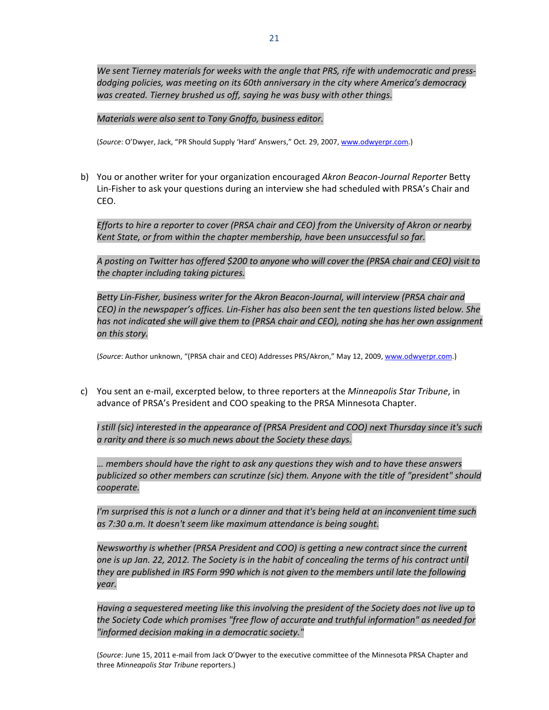*We sent Tierney materials for weeks with the angle that PRS, rife with undemocratic and press‐ dodging policies, was meeting on its 60th anniversary in the city where America's democracy was created. Tierney brushed us off, saying he was busy with other things.*

*Materials were also sent to Tony Gnoffo, business editor.*

(*Source*: O'Dwyer, Jack, "PR Should Supply 'Hard' Answers," Oct. 29, 2007, [www.odwyerpr.com.](http://www.odwyerpr.com/))

b) You or another writer for your organization encouraged *Akron Beacon‐Journal Reporter* Betty Lin‐Fisher to ask your questions during an interview she had scheduled with PRSA's Chair and CEO.

*Efforts to hire a reporter to cover (PRSA chair and CEO) from the University of Akron or nearby Kent State, or from within the chapter membership, have been unsuccessful so far.*

A posting on Twitter has offered \$200 to anyone who will cover the (PRSA chair and CEO) visit to *the chapter including taking pictures.*

*Betty Lin‐Fisher, business writer for the Akron Beacon‐Journal, will interview (PRSA chair and CEO) in the newspaper's offices. Lin‐Fisher has also been sent the ten questions listed below. She has not indicated she will give them to (PRSA chair and CEO), noting she has her own assignment on this story.*

(*Source*: Author unknown, "(PRSA chair and CEO) Addresses PRS/Akron," May 12, 2009, [www.odwyerpr.com](http://www.odwyerpr.com/).)

c) You sent an e‐mail, excerpted below, to three reporters at the *Minneapolis Star Tribune*, in advance of PRSA's President and COO speaking to the PRSA Minnesota Chapter.

*I still (sic) interested in the appearance of (PRSA President and COO) next Thursday since it's such a rarity and there is so much news about the Society these days.*

*… members should have the right to ask any questions they wish and to have these answers publicized so other members can scrutinze (sic) them. Anyone with the title of "president" should cooperate.*

I'm surprised this is not a lunch or a dinner and that it's being held at an inconvenient time such *as 7:30 a.m. It doesn't seem like maximum attendance is being sought.*

*Newsworthy is whether (PRSA President and COO) is getting a new contract since the current* one is up Jan. 22, 2012. The Society is in the habit of concealing the terms of his contract until *they are published in IRS Form 990 which is not given to the members until late the following year.*

*Having a sequestered meeting like this involving the president of the Society does not live up to the Society Code which promises "free flow of accurate and truthful information" as needed for "informed decision making in a democratic society."*

(*Source*: June 15, 2011 e‐mail from Jack O'Dwyer to the executive committee of the Minnesota PRSA Chapter and three *Minneapolis Star Tribune* reporters.)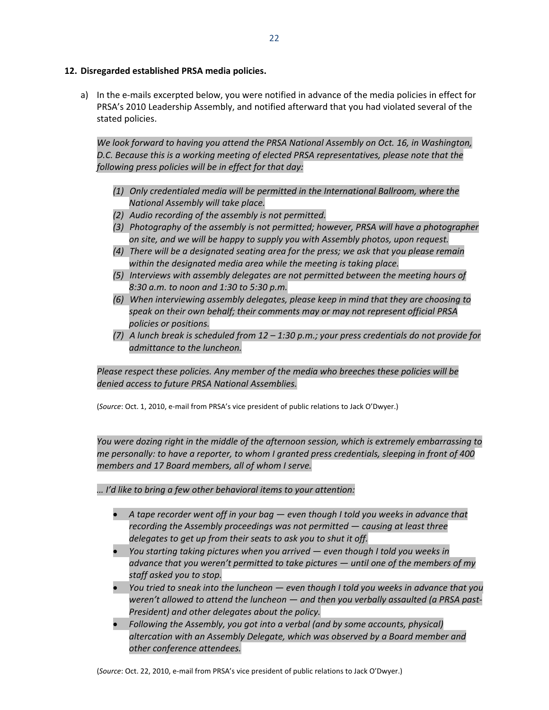### **12. Disregarded established PRSA media policies.**

a) In the e-mails excerpted below, you were notified in advance of the media policies in effect for PRSA's 2010 Leadership Assembly, and notified afterward that you had violated several of the stated policies.

*We look forward to having you attend the PRSA National Assembly on Oct. 16, in Washington, D.C. Because this is a working meeting of elected PRSA representatives, please note that the following press policies will be in effect for that day:*

- *(1) Only credentialed media will be permitted in the International Ballroom, where the National Assembly will take place.*
- *(2) Audio recording of the assembly is not permitted.*
- *(3) Photography of the assembly is not permitted; however, PRSA will have a photographer on site, and we will be happy to supply you with Assembly photos, upon request.*
- *(4) There will be a designated seating area for the press; we ask that you please remain within the designated media area while the meeting is taking place.*
- *(5) Interviews with assembly delegates are not permitted between the meeting hours of 8:30 a.m. to noon and 1:30 to 5:30 p.m.*
- *(6) When interviewing assembly delegates, please keep in mind that they are choosing to speak on their own behalf; their comments may or may not represent official PRSA policies or positions.*
- (7) A lunch break is scheduled from  $12 1.30$  p.m.; your press credentials do not provide for *admittance to the luncheon.*

*Please respect these policies. Any member of the media who breeches these policies will be denied access to future PRSA National Assemblies.*

(*Source*: Oct. 1, 2010, e‐mail from PRSA's vice president of public relations to Jack O'Dwyer.)

*You were dozing right in the middle of the afternoon session, which is extremely embarrassing to me personally: to have a reporter, to whom I granted press credentials, sleeping in front of 400 members and 17 Board members, all of whom I serve.*

*… I'd like to bring a few other behavioral items to your attention:*

- *A tape recorder went off in your bag — even though I told you weeks in advance that recording the Assembly proceedings was not permitted — causing at least three delegates to get up from their seats to ask you to shut it off.*
- *You starting taking pictures when you arrived — even though I told you weeks in advance that you weren't permitted to take pictures — until one of the members of my staff asked you to stop.*
- *You tried to sneak into the luncheon — even though I told you weeks in advance that you weren't allowed to attend the luncheon — and then you verbally assaulted (a PRSA past‐ President) and other delegates about the policy.*
- *Following the Assembly, you got into a verbal (and by some accounts, physical) altercation with an Assembly Delegate, which was observed by a Board member and other conference attendees.*